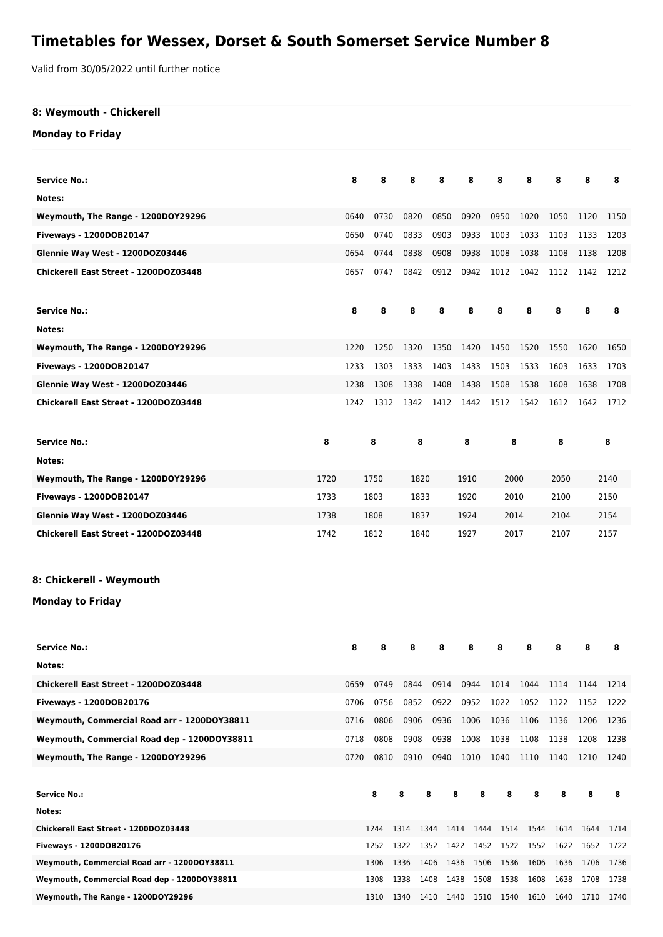## **Timetables for Wessex, Dorset & South Somerset Service Number 8**

Valid from 30/05/2022 until further notice

| 8: Weymouth - Chickerell                     |      |      |      |      |      |      |           |           |           |      |      |      |
|----------------------------------------------|------|------|------|------|------|------|-----------|-----------|-----------|------|------|------|
| <b>Monday to Friday</b>                      |      |      |      |      |      |      |           |           |           |      |      |      |
|                                              |      |      |      |      |      |      |           |           |           |      |      |      |
| <b>Service No.:</b>                          |      | 8    | 8    | 8    | 8    |      | 8         | 8         | 8         | 8    | 8    | 8    |
| Notes:                                       |      |      |      |      |      |      |           |           |           |      |      |      |
| Weymouth, The Range - 1200DOY29296           |      | 0640 | 0730 | 0820 | 0850 |      | 0920      | 0950      | 1020      | 1050 | 1120 | 1150 |
| Fiveways - 1200DOB20147                      |      | 0650 | 0740 | 0833 | 0903 |      | 0933      | 1003      | 1033      | 1103 | 1133 | 1203 |
| Glennie Way West - 1200DOZ03446              |      | 0654 | 0744 | 0838 | 0908 |      | 0938      | 1008      | 1038      | 1108 | 1138 | 1208 |
| Chickerell East Street - 1200DOZ03448        |      | 0657 | 0747 | 0842 | 0912 |      | 0942      | 1012      | 1042      | 1112 | 1142 | 1212 |
| <b>Service No.:</b>                          |      | 8    | 8    | 8    | 8    |      | 8         | 8         | 8         | 8    | 8    | 8    |
| Notes:                                       |      |      |      |      |      |      |           |           |           |      |      |      |
| Weymouth, The Range - 1200DOY29296           |      | 1220 | 1250 | 1320 | 1350 |      | 1420      | 1450      | 1520      | 1550 | 1620 | 1650 |
| Fiveways - 1200DOB20147                      |      | 1233 | 1303 | 1333 | 1403 |      | 1433      | 1503      | 1533      | 1603 | 1633 | 1703 |
| Glennie Way West - 1200DOZ03446              |      | 1238 | 1308 | 1338 | 1408 |      | 1438      | 1508      | 1538      | 1608 | 1638 | 1708 |
| Chickerell East Street - 1200DOZ03448        |      | 1242 | 1312 | 1342 | 1412 |      | 1442      | 1512 1542 |           | 1612 | 1642 | 1712 |
| <b>Service No.:</b>                          | 8    |      | 8    |      | 8    |      | 8         | 8         |           | 8    |      | 8    |
| Notes:                                       |      |      |      |      |      |      |           |           |           |      |      |      |
| Weymouth, The Range - 1200DOY29296           | 1720 |      | 1750 |      | 1820 |      | 1910      | 2000      |           | 2050 |      | 2140 |
| Fiveways - 1200DOB20147                      | 1733 |      | 1803 |      | 1833 |      | 1920      | 2010      |           | 2100 |      | 2150 |
| Glennie Way West - 1200DOZ03446              | 1738 |      | 1808 |      | 1837 |      | 1924      | 2014      |           | 2104 |      | 2154 |
| Chickerell East Street - 1200DOZ03448        | 1742 |      | 1812 |      | 1840 |      | 1927      | 2017      |           | 2107 |      | 2157 |
|                                              |      |      |      |      |      |      |           |           |           |      |      |      |
| 8: Chickerell - Weymouth                     |      |      |      |      |      |      |           |           |           |      |      |      |
| <b>Monday to Friday</b>                      |      |      |      |      |      |      |           |           |           |      |      |      |
| <b>Service No.:</b>                          |      | 8    | 8    | 8    | 8    |      | 8         | 8         | 8         | 8    | 8    | 8    |
| Notes:                                       |      |      |      |      |      |      |           |           |           |      |      |      |
| Chickerell East Street - 1200DOZ03448        |      | 0659 | 0749 | 0844 | 0914 |      | 0944      | 1014      | 1044      | 1114 | 1144 | 1214 |
| Fiveways - 1200DOB20176                      |      | 0706 | 0756 | 0852 | 0922 |      | 0952      | 1022      | 1052      | 1122 | 1152 | 1222 |
| Weymouth, Commercial Road arr - 1200DOY38811 |      | 0716 | 0806 | 0906 | 0936 |      | 1006      | 1036      | 1106      | 1136 | 1206 | 1236 |
| Weymouth, Commercial Road dep - 1200DOY38811 |      | 0718 | 0808 | 0908 | 0938 |      | 1008      | 1038      | 1108      | 1138 | 1208 | 1238 |
|                                              |      |      | 0810 |      |      |      |           | 1040      |           |      |      |      |
| Weymouth, The Range - 1200DOY29296           |      | 0720 |      | 0910 | 0940 |      | 1010      |           | 1110      | 1140 | 1210 | 1240 |
| <b>Service No.:</b>                          |      |      | 8    | 8    | 8    | 8    | 8         | 8         | 8         | 8    | 8    | 8    |
| Notes:                                       |      |      |      |      |      |      |           |           |           |      |      |      |
| Chickerell East Street - 1200DOZ03448        |      |      | 1244 | 1314 | 1344 |      | 1414 1444 |           | 1514 1544 | 1614 | 1644 | 1714 |
| Fiveways - 1200DOB20176                      |      |      | 1252 | 1322 | 1352 | 1422 | 1452      | 1522      | 1552      | 1622 | 1652 | 1722 |
| Weymouth, Commercial Road arr - 1200DOY38811 |      |      | 1306 | 1336 | 1406 | 1436 | 1506      | 1536      | 1606      | 1636 | 1706 | 1736 |
| Weymouth, Commercial Road dep - 1200DOY38811 |      |      | 1308 | 1338 | 1408 | 1438 | 1508      | 1538      | 1608      | 1638 | 1708 | 1738 |

**Weymouth, The Range - 1200DOY29296** 1310 1340 1410 1440 1510 1540 1610 1640 1710 1740